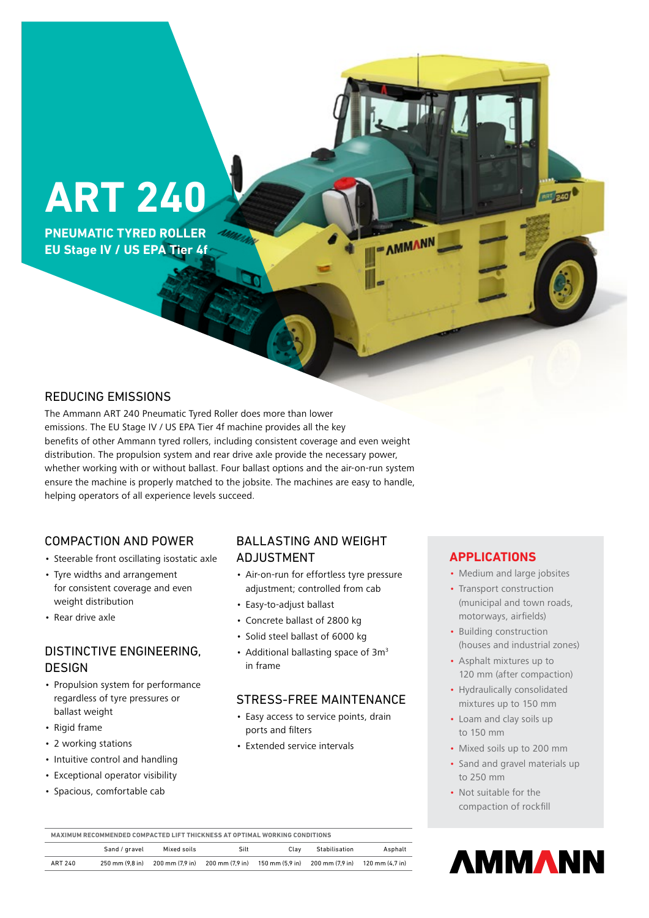# **ART 240**

**PNEUMATIC TYRED ROLLER EU Stage IV / US EPA Tier 4f**

## REDUCING EMISSIONS

The Ammann ART 240 Pneumatic Tyred Roller does more than lower emissions. The EU Stage IV / US EPA Tier 4f machine provides all the key benefits of other Ammann tyred rollers, including consistent coverage and even weight distribution. The propulsion system and rear drive axle provide the necessary power, whether working with or without ballast. Four ballast options and the air-on-run system ensure the machine is properly matched to the jobsite. The machines are easy to handle, helping operators of all experience levels succeed.

## COMPACTION AND POWER

- Steerable front oscillating isostatic axle
- Tyre widths and arrangement for consistent coverage and even weight distribution
- Rear drive axle

# DISTINCTIVE ENGINEERING, **DESIGN**

- Propulsion system for performance regardless of tyre pressures or ballast weight
- Rigid frame
- 2 working stations
- Intuitive control and handling
- Exceptional operator visibility
- Spacious, comfortable cab

# BALLASTING AND WEIGHT ADJUSTMENT

- Air-on-run for effortless tyre pressure adjustment; controlled from cab
- Easy-to-adjust ballast
- Concrete ballast of 2800 kg
- Solid steel ballast of 6000 kg
- Additional ballasting space of  $3m<sup>3</sup>$ in frame

## STRESS-FREE MAINTENANCE

- Easy access to service points, drain ports and filters
- Extended service intervals

## **APPLICATIONS**

- AMMANN

• Medium and large jobsites

**Tiped** 

- Transport construction (municipal and town roads, motorways, airfields)
- Building construction (houses and industrial zones)
- Asphalt mixtures up to 120 mm (after compaction)
- Hydraulically consolidated mixtures up to 150 mm
- Loam and clay soils up to 150 mm
- Mixed soils up to 200 mm
- Sand and gravel materials up to 250 mm
- Not suitable for the compaction of rockfill



**MAXIMUM RECOMMENDED COMPACTED LIFT THICKNESS AT OPTIMAL WORKING CONDITIONS**

|         | Sand / gravel                     | Mixed soils     | Silt            | Clav            | Stabilisation   | Asphalt         |
|---------|-----------------------------------|-----------------|-----------------|-----------------|-----------------|-----------------|
| ART 240 | $250 \text{ mm} (9.8 \text{ in})$ | 200 mm (7.9 in) | 200 mm (7.9 in) | 150 mm (5.9 in) | 200 mm (7.9 in) | 120 mm (4.7 in) |